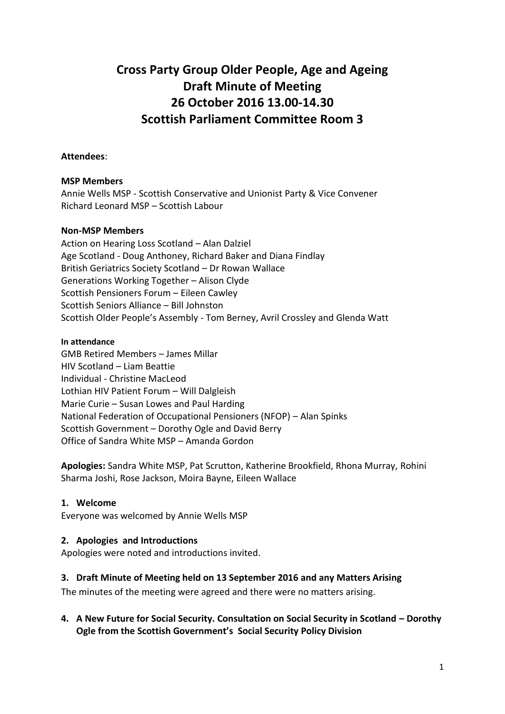# **Cross Party Group Older People, Age and Ageing Draft Minute of Meeting 26 October 2016 13.00-14.30 Scottish Parliament Committee Room 3**

### **Attendees**:

#### **MSP Members**

Annie Wells MSP - Scottish Conservative and Unionist Party & Vice Convener Richard Leonard MSP – Scottish Labour

#### **Non-MSP Members**

Action on Hearing Loss Scotland – Alan Dalziel Age Scotland - Doug Anthoney, Richard Baker and Diana Findlay British Geriatrics Society Scotland – Dr Rowan Wallace Generations Working Together – Alison Clyde Scottish Pensioners Forum – Eileen Cawley Scottish Seniors Alliance – Bill Johnston Scottish Older People's Assembly - Tom Berney, Avril Crossley and Glenda Watt

#### **In attendance**

GMB Retired Members – James Millar HIV Scotland – Liam Beattie Individual - Christine MacLeod Lothian HIV Patient Forum – Will Dalgleish Marie Curie – Susan Lowes and Paul Harding National Federation of Occupational Pensioners (NFOP) – Alan Spinks Scottish Government – Dorothy Ogle and David Berry Office of Sandra White MSP – Amanda Gordon

**Apologies:** Sandra White MSP, Pat Scrutton, Katherine Brookfield, Rhona Murray, Rohini Sharma Joshi, Rose Jackson, Moira Bayne, Eileen Wallace

# **1. Welcome**

Everyone was welcomed by Annie Wells MSP

# **2. Apologies and Introductions**

Apologies were noted and introductions invited.

#### **3. Draft Minute of Meeting held on 13 September 2016 and any Matters Arising**

The minutes of the meeting were agreed and there were no matters arising.

**4. A New Future for Social Security. Consultation on Social Security in Scotland – Dorothy Ogle from the Scottish Government's Social Security Policy Division**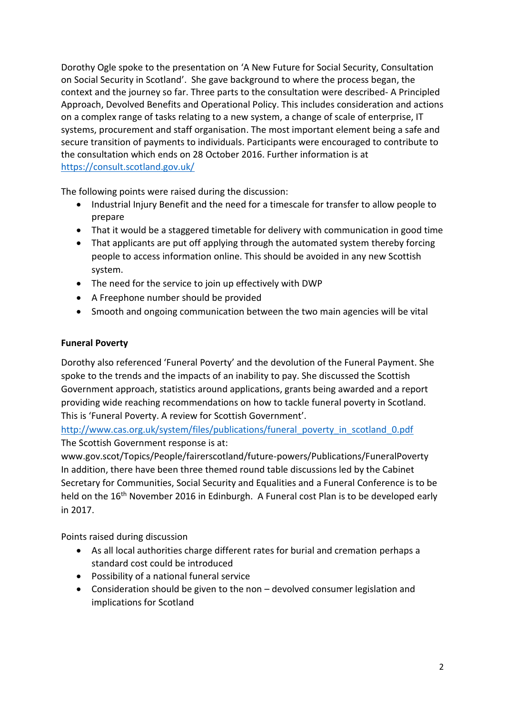Dorothy Ogle spoke to the presentation on 'A New Future for Social Security, Consultation on Social Security in Scotland'. She gave background to where the process began, the context and the journey so far. Three parts to the consultation were described- A Principled Approach, Devolved Benefits and Operational Policy. This includes consideration and actions on a complex range of tasks relating to a new system, a change of scale of enterprise, IT systems, procurement and staff organisation. The most important element being a safe and secure transition of payments to individuals. Participants were encouraged to contribute to the consultation which ends on 28 October 2016. Further information is at <https://consult.scotland.gov.uk/>

The following points were raised during the discussion:

- Industrial Injury Benefit and the need for a timescale for transfer to allow people to prepare
- That it would be a staggered timetable for delivery with communication in good time
- That applicants are put off applying through the automated system thereby forcing people to access information online. This should be avoided in any new Scottish system.
- The need for the service to join up effectively with DWP
- A Freephone number should be provided
- Smooth and ongoing communication between the two main agencies will be vital

# **Funeral Poverty**

Dorothy also referenced 'Funeral Poverty' and the devolution of the Funeral Payment. She spoke to the trends and the impacts of an inability to pay. She discussed the Scottish Government approach, statistics around applications, grants being awarded and a report providing wide reaching recommendations on how to tackle funeral poverty in Scotland. This is 'Funeral Poverty. A review for Scottish Government'.

[http://www.cas.org.uk/system/files/publications/funeral\\_poverty\\_in\\_scotland\\_0.pdf](http://www.cas.org.uk/system/files/publications/funeral_poverty_in_scotland_0.pdf) The Scottish Government response is at:

www.gov.scot/Topics/People/fairerscotland/future-powers/Publications/FuneralPoverty In addition, there have been three themed round table discussions led by the Cabinet Secretary for Communities, Social Security and Equalities and a Funeral Conference is to be held on the 16<sup>th</sup> November 2016 in Edinburgh. A Funeral cost Plan is to be developed early in 2017.

Points raised during discussion

- As all local authorities charge different rates for burial and cremation perhaps a standard cost could be introduced
- Possibility of a national funeral service
- Consideration should be given to the non devolved consumer legislation and implications for Scotland